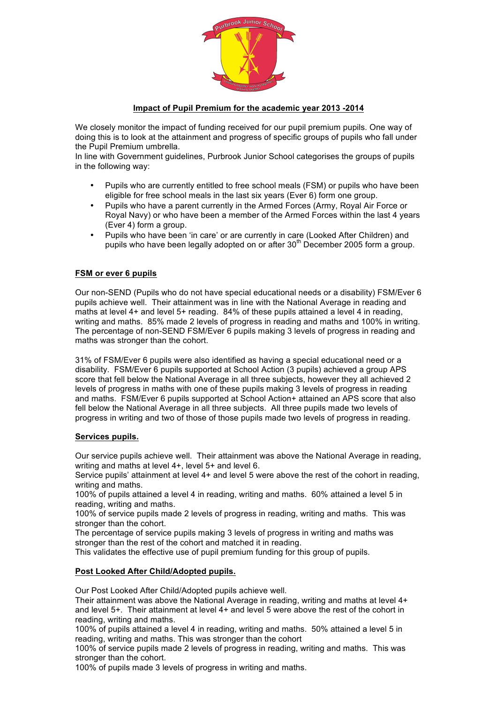

## **Impact of Pupil Premium for the academic year 2013 -2014**

We closely monitor the impact of funding received for our pupil premium pupils. One way of doing this is to look at the attainment and progress of specific groups of pupils who fall under the Pupil Premium umbrella.

In line with Government guidelines, Purbrook Junior School categorises the groups of pupils in the following way:

- Pupils who are currently entitled to free school meals (FSM) or pupils who have been eligible for free school meals in the last six years (Ever 6) form one group.
- Pupils who have a parent currently in the Armed Forces (Army, Royal Air Force or Royal Navy) or who have been a member of the Armed Forces within the last 4 years (Ever 4) form a group.
- Pupils who have been 'in care' or are currently in care (Looked After Children) and pupils who have been legally adopted on or after 30<sup>th</sup> December 2005 form a group.

## **FSM or ever 6 pupils**

Our non-SEND (Pupils who do not have special educational needs or a disability) FSM/Ever 6 pupils achieve well. Their attainment was in line with the National Average in reading and maths at level 4+ and level 5+ reading. 84% of these pupils attained a level 4 in reading, writing and maths. 85% made 2 levels of progress in reading and maths and 100% in writing. The percentage of non-SEND FSM/Ever 6 pupils making 3 levels of progress in reading and maths was stronger than the cohort.

31% of FSM/Ever 6 pupils were also identified as having a special educational need or a disability. FSM/Ever 6 pupils supported at School Action (3 pupils) achieved a group APS score that fell below the National Average in all three subjects, however they all achieved 2 levels of progress in maths with one of these pupils making 3 levels of progress in reading and maths. FSM/Ever 6 pupils supported at School Action+ attained an APS score that also fell below the National Average in all three subjects. All three pupils made two levels of progress in writing and two of those of those pupils made two levels of progress in reading.

### **Services pupils.**

Our service pupils achieve well. Their attainment was above the National Average in reading, writing and maths at level 4+, level 5+ and level 6.

Service pupils' attainment at level 4+ and level 5 were above the rest of the cohort in reading, writing and maths.

100% of pupils attained a level 4 in reading, writing and maths. 60% attained a level 5 in reading, writing and maths.

100% of service pupils made 2 levels of progress in reading, writing and maths. This was stronger than the cohort.

The percentage of service pupils making 3 levels of progress in writing and maths was stronger than the rest of the cohort and matched it in reading.

This validates the effective use of pupil premium funding for this group of pupils.

### **Post Looked After Child/Adopted pupils.**

Our Post Looked After Child/Adopted pupils achieve well.

Their attainment was above the National Average in reading, writing and maths at level 4+ and level 5+. Their attainment at level 4+ and level 5 were above the rest of the cohort in reading, writing and maths.

100% of pupils attained a level 4 in reading, writing and maths. 50% attained a level 5 in reading, writing and maths. This was stronger than the cohort

100% of service pupils made 2 levels of progress in reading, writing and maths. This was stronger than the cohort.

100% of pupils made 3 levels of progress in writing and maths.